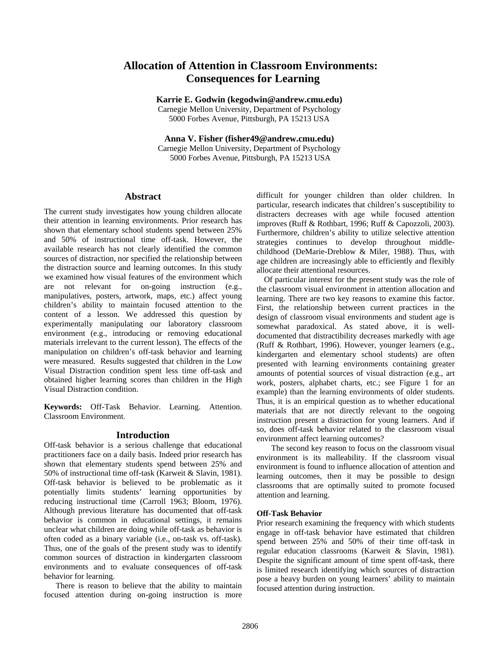# **Allocation of Attention in Classroom Environments: Consequences for Learning**

**Karrie E. Godwin (kegodwin@andrew.cmu.edu)** 

Carnegie Mellon University, Department of Psychology 5000 Forbes Avenue, Pittsburgh, PA 15213 USA

**Anna V. Fisher (fisher49@andrew.cmu.edu)** 

Carnegie Mellon University, Department of Psychology 5000 Forbes Avenue, Pittsburgh, PA 15213 USA

# **Abstract**

The current study investigates how young children allocate their attention in learning environments. Prior research has shown that elementary school students spend between 25% and 50% of instructional time off-task. However, the available research has not clearly identified the common sources of distraction, nor specified the relationship between the distraction source and learning outcomes. In this study we examined how visual features of the environment which are not relevant for on-going instruction (e.g., manipulatives, posters, artwork, maps, etc.) affect young children's ability to maintain focused attention to the content of a lesson. We addressed this question by experimentally manipulating our laboratory classroom environment (e.g., introducing or removing educational materials irrelevant to the current lesson). The effects of the manipulation on children's off-task behavior and learning were measured. Results suggested that children in the Low Visual Distraction condition spent less time off-task and obtained higher learning scores than children in the High Visual Distraction condition.

**Keywords:** Off-Task Behavior. Learning. Attention. Classroom Environment.

### **Introduction**

Off-task behavior is a serious challenge that educational practitioners face on a daily basis. Indeed prior research has shown that elementary students spend between 25% and 50% of instructional time off-task (Karweit & Slavin, 1981). Off-task behavior is believed to be problematic as it potentially limits students' learning opportunities by reducing instructional time (Carroll 1963; Bloom, 1976). Although previous literature has documented that off-task behavior is common in educational settings, it remains unclear what children are doing while off-task as behavior is often coded as a binary variable (i.e., on-task vs. off-task). Thus, one of the goals of the present study was to identify common sources of distraction in kindergarten classroom environments and to evaluate consequences of off-task behavior for learning.

There is reason to believe that the ability to maintain focused attention during on-going instruction is more

difficult for younger children than older children. In particular, research indicates that children's susceptibility to distracters decreases with age while focused attention improves (Ruff & Rothbart, 1996; Ruff & Capozzoli, 2003). Furthermore, children's ability to utilize selective attention strategies continues to develop throughout middlechildhood (DeMarie-Dreblow & Miler, 1988). Thus, with age children are increasingly able to efficiently and flexibly allocate their attentional resources.

Of particular interest for the present study was the role of the classroom visual environment in attention allocation and learning. There are two key reasons to examine this factor. First, the relationship between current practices in the design of classroom visual environments and student age is somewhat paradoxical. As stated above, it is welldocumented that distractibility decreases markedly with age (Ruff & Rothbart, 1996). However, younger learners (e.g., kindergarten and elementary school students) are often presented with learning environments containing greater amounts of potential sources of visual distraction (e.g., art work, posters, alphabet charts, etc.; see Figure 1 for an example) than the learning environments of older students. Thus, it is an empirical question as to whether educational materials that are not directly relevant to the ongoing instruction present a distraction for young learners. And if so, does off-task behavior related to the classroom visual environment affect learning outcomes?

The second key reason to focus on the classroom visual environment is its malleability. If the classroom visual environment is found to influence allocation of attention and learning outcomes, then it may be possible to design classrooms that are optimally suited to promote focused attention and learning.

### **Off-Task Behavior**

Prior research examining the frequency with which students engage in off-task behavior have estimated that children spend between 25% and 50% of their time off-task in regular education classrooms (Karweit & Slavin, 1981). Despite the significant amount of time spent off-task, there is limited research identifying which sources of distraction pose a heavy burden on young learners' ability to maintain focused attention during instruction.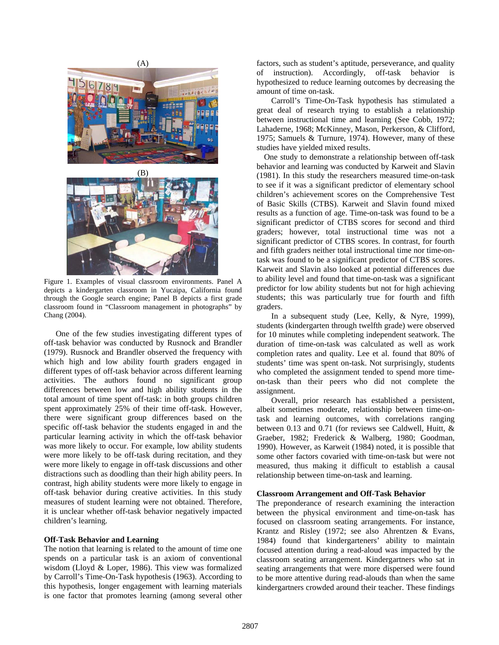



Figure 1. Examples of visual classroom environments. Panel A depicts a kindergarten classroom in Yucaipa, California found through the Google search engine; Panel B depicts a first grade classroom found in "Classroom management in photographs" by Chang (2004).

One of the few studies investigating different types of off-task behavior was conducted by Rusnock and Brandler (1979). Rusnock and Brandler observed the frequency with which high and low ability fourth graders engaged in different types of off-task behavior across different learning activities. The authors found no significant group differences between low and high ability students in the total amount of time spent off-task: in both groups children spent approximately 25% of their time off-task. However, there were significant group differences based on the specific off-task behavior the students engaged in and the particular learning activity in which the off-task behavior was more likely to occur. For example, low ability students were more likely to be off-task during recitation, and they were more likely to engage in off-task discussions and other distractions such as doodling than their high ability peers. In contrast, high ability students were more likely to engage in off-task behavior during creative activities. In this study measures of student learning were not obtained. Therefore, it is unclear whether off-task behavior negatively impacted children's learning.

#### **Off-Task Behavior and Learning**

The notion that learning is related to the amount of time one spends on a particular task is an axiom of conventional wisdom (Lloyd & Loper, 1986). This view was formalized by Carroll's Time-On-Task hypothesis (1963). According to this hypothesis, longer engagement with learning materials is one factor that promotes learning (among several other

factors, such as student's aptitude, perseverance, and quality of instruction). Accordingly, off-task behavior is hypothesized to reduce learning outcomes by decreasing the amount of time on-task.

Carroll's Time-On-Task hypothesis has stimulated a great deal of research trying to establish a relationship between instructional time and learning (See Cobb, 1972; Lahaderne, 1968; McKinney, Mason, Perkerson, & Clifford, 1975; Samuels & Turnure, 1974). However, many of these studies have yielded mixed results.

One study to demonstrate a relationship between off-task behavior and learning was conducted by Karweit and Slavin (1981). In this study the researchers measured time-on-task to see if it was a significant predictor of elementary school children's achievement scores on the Comprehensive Test of Basic Skills (CTBS). Karweit and Slavin found mixed results as a function of age. Time-on-task was found to be a significant predictor of CTBS scores for second and third graders; however, total instructional time was not a significant predictor of CTBS scores. In contrast, for fourth and fifth graders neither total instructional time nor time-ontask was found to be a significant predictor of CTBS scores. Karweit and Slavin also looked at potential differences due to ability level and found that time-on-task was a significant predictor for low ability students but not for high achieving students; this was particularly true for fourth and fifth graders.

In a subsequent study (Lee, Kelly, & Nyre, 1999), students (kindergarten through twelfth grade) were observed for 10 minutes while completing independent seatwork. The duration of time-on-task was calculated as well as work completion rates and quality. Lee et al. found that 80% of students' time was spent on-task. Not surprisingly, students who completed the assignment tended to spend more timeon-task than their peers who did not complete the assignment.

Overall, prior research has established a persistent, albeit sometimes moderate, relationship between time-ontask and learning outcomes, with correlations ranging between 0.13 and 0.71 (for reviews see Caldwell, Huitt, & Graeber, 1982; Frederick & Walberg, 1980; Goodman, 1990). However, as Karweit (1984) noted, it is possible that some other factors covaried with time-on-task but were not measured, thus making it difficult to establish a causal relationship between time-on-task and learning.

#### **Classroom Arrangement and Off-Task Behavior**

The preponderance of research examining the interaction between the physical environment and time-on-task has focused on classroom seating arrangements. For instance, Krantz and Risley (1972; see also Ahrentzen & Evans, 1984) found that kindergarteners' ability to maintain focused attention during a read-aloud was impacted by the classroom seating arrangement. Kindergartners who sat in seating arrangements that were more dispersed were found to be more attentive during read-alouds than when the same kindergartners crowded around their teacher. These findings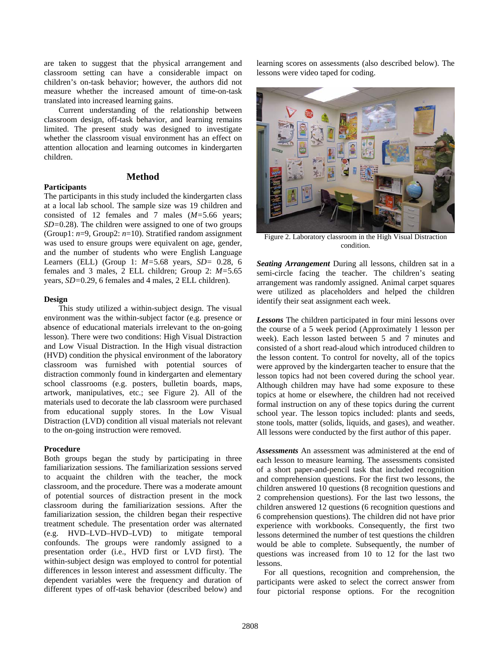are taken to suggest that the physical arrangement and classroom setting can have a considerable impact on children's on-task behavior; however, the authors did not measure whether the increased amount of time-on-task translated into increased learning gains.

Current understanding of the relationship between classroom design, off-task behavior, and learning remains limited. The present study was designed to investigate whether the classroom visual environment has an effect on attention allocation and learning outcomes in kindergarten children.

# **Method**

The participants in this study included the kindergarten class at a local lab school. The sample size was 19 children and consisted of 12 females and 7 males (*M=*5.66 years; *SD=*0.28). The children were assigned to one of two groups (Group1: *n*=9, Group2: *n*=10). Stratified random assignment was used to ensure groups were equivalent on age, gender, and the number of students who were English Language Learners (ELL) (Group 1: *M=*5.68 years*, SD=* 0.28, 6 females and 3 males, 2 ELL children; Group 2: *M=*5.65 years*, SD=*0.29, 6 females and 4 males, 2 ELL children).

#### **Design**

**Participants** 

This study utilized a within-subject design. The visual environment was the within-subject factor (e.g. presence or absence of educational materials irrelevant to the on-going lesson). There were two conditions: High Visual Distraction and Low Visual Distraction. In the High visual distraction (HVD) condition the physical environment of the laboratory classroom was furnished with potential sources of distraction commonly found in kindergarten and elementary school classrooms (e.g. posters, bulletin boards, maps, artwork, manipulatives, etc.; see Figure 2). All of the materials used to decorate the lab classroom were purchased from educational supply stores. In the Low Visual Distraction (LVD) condition all visual materials not relevant to the on-going instruction were removed.

#### **Procedure**

Both groups began the study by participating in three familiarization sessions. The familiarization sessions served to acquaint the children with the teacher, the mock classroom, and the procedure. There was a moderate amount of potential sources of distraction present in the mock classroom during the familiarization sessions. After the familiarization session, the children began their respective treatment schedule. The presentation order was alternated (e.g. HVD–LVD–HVD–LVD) to mitigate temporal confounds. The groups were randomly assigned to a presentation order (i.e., HVD first or LVD first). The within-subject design was employed to control for potential differences in lesson interest and assessment difficulty. The dependent variables were the frequency and duration of different types of off-task behavior (described below) and

learning scores on assessments (also described below). The lessons were video taped for coding.



Figure 2. Laboratory classroom in the High Visual Distraction condition.

*Seating Arrangement* During all lessons, children sat in a semi-circle facing the teacher. The children's seating arrangement was randomly assigned. Animal carpet squares were utilized as placeholders and helped the children identify their seat assignment each week.

*Lessons* The children participated in four mini lessons over the course of a 5 week period (Approximately 1 lesson per week). Each lesson lasted between 5 and 7 minutes and consisted of a short read-aloud which introduced children to the lesson content. To control for novelty, all of the topics were approved by the kindergarten teacher to ensure that the lesson topics had not been covered during the school year. Although children may have had some exposure to these topics at home or elsewhere, the children had not received formal instruction on any of these topics during the current school year. The lesson topics included: plants and seeds, stone tools, matter (solids, liquids, and gases), and weather. All lessons were conducted by the first author of this paper.

*Assessments* An assessment was administered at the end of each lesson to measure learning. The assessments consisted of a short paper-and-pencil task that included recognition and comprehension questions. For the first two lessons, the children answered 10 questions (8 recognition questions and 2 comprehension questions). For the last two lessons, the children answered 12 questions (6 recognition questions and 6 comprehension questions). The children did not have prior experience with workbooks. Consequently, the first two lessons determined the number of test questions the children would be able to complete. Subsequently, the number of questions was increased from 10 to 12 for the last two lessons.

For all questions, recognition and comprehension, the participants were asked to select the correct answer from four pictorial response options. For the recognition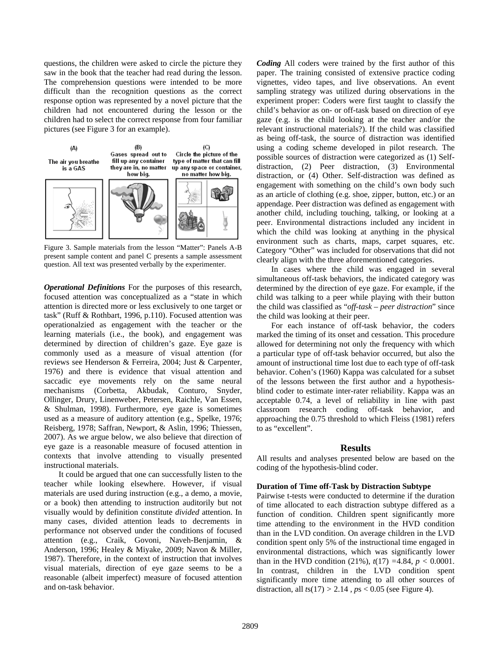questions, the children were asked to circle the picture they saw in the book that the teacher had read during the lesson. The comprehension questions were intended to be more difficult than the recognition questions as the correct response option was represented by a novel picture that the children had not encountered during the lesson or the children had to select the correct response from four familiar pictures (see Figure 3 for an example).



Figure 3. Sample materials from the lesson "Matter": Panels A-B present sample content and panel C presents a sample assessment question. All text was presented verbally by the experimenter.

*Operational Definitions* For the purposes of this research, focused attention was conceptualized as a "state in which attention is directed more or less exclusively to one target or task" (Ruff & Rothbart, 1996, p.110). Focused attention was operationalzied as engagement with the teacher or the learning materials (i.e., the book), and engagement was determined by direction of children's gaze. Eye gaze is commonly used as a measure of visual attention (for reviews see Henderson & Ferreira, 2004; Just & Carpenter, 1976) and there is evidence that visual attention and saccadic eye movements rely on the same neural mechanisms (Corbetta, Akbudak, Conturo, Snyder, Ollinger, Drury, Linenweber, Petersen, Raichle, Van Essen, & Shulman, 1998). Furthermore, eye gaze is sometimes used as a measure of auditory attention (e.g., Spelke, 1976; Reisberg, 1978; Saffran, Newport, & Aslin, 1996; Thiessen, 2007). As we argue below, we also believe that direction of eye gaze is a reasonable measure of focused attention in contexts that involve attending to visually presented instructional materials.

It could be argued that one can successfully listen to the teacher while looking elsewhere. However, if visual materials are used during instruction (e.g., a demo, a movie, or a book) then attending to instruction auditorily but not visually would by definition constitute *divided* attention. In many cases, divided attention leads to decrements in performance not observed under the conditions of focused attention (e.g., Craik, Govoni, Naveh-Benjamin, & Anderson, 1996; Healey & Miyake, 2009; Navon & Miller, 1987). Therefore, in the context of instruction that involves visual materials, direction of eye gaze seems to be a reasonable (albeit imperfect) measure of focused attention and on-task behavior.

*Coding* All coders were trained by the first author of this paper. The training consisted of extensive practice coding vignettes, video tapes, and live observations. An event sampling strategy was utilized during observations in the experiment proper: Coders were first taught to classify the child's behavior as on- or off-task based on direction of eye gaze (e.g. is the child looking at the teacher and/or the relevant instructional materials?). If the child was classified as being off-task, the source of distraction was identified using a coding scheme developed in pilot research. The possible sources of distraction were categorized as (1) Selfdistraction, (2) Peer distraction, (3) Environmental distraction, or (4) Other. Self-distraction was defined as engagement with something on the child's own body such as an article of clothing (e.g. shoe, zipper, button, etc.) or an appendage. Peer distraction was defined as engagement with another child, including touching, talking, or looking at a peer. Environmental distractions included any incident in which the child was looking at anything in the physical environment such as charts, maps, carpet squares, etc. Category "Other" was included for observations that did not clearly align with the three aforementioned categories.

In cases where the child was engaged in several simultaneous off-task behaviors, the indicated category was determined by the direction of eye gaze. For example, if the child was talking to a peer while playing with their button the child was classified as "*off-task – peer distraction*" since the child was looking at their peer.

For each instance of off-task behavior, the coders marked the timing of its onset and cessation. This procedure allowed for determining not only the frequency with which a particular type of off-task behavior occurred, but also the amount of instructional time lost due to each type of off-task behavior. Cohen's (1960) Kappa was calculated for a subset of the lessons between the first author and a hypothesisblind coder to estimate inter-rater reliability. Kappa was an acceptable 0.74, a level of reliability in line with past classroom research coding off-task behavior, and approaching the 0.75 threshold to which Fleiss (1981) refers to as "excellent".

#### **Results**

All results and analyses presented below are based on the coding of the hypothesis-blind coder.

#### **Duration of Time off-Task by Distraction Subtype**

Pairwise t-tests were conducted to determine if the duration of time allocated to each distraction subtype differed as a function of condition. Children spent significantly more time attending to the environment in the HVD condition than in the LVD condition. On average children in the LVD condition spent only 5% of the instructional time engaged in environmental distractions, which was significantly lower than in the HVD condition  $(21\%)$ ,  $t(17) = 4.84$ ,  $p < 0.0001$ . In contrast, children in the LVD condition spent significantly more time attending to all other sources of distraction, all *t*s(17) *>* 2.14 *, p*s < 0.05 (see Figure 4).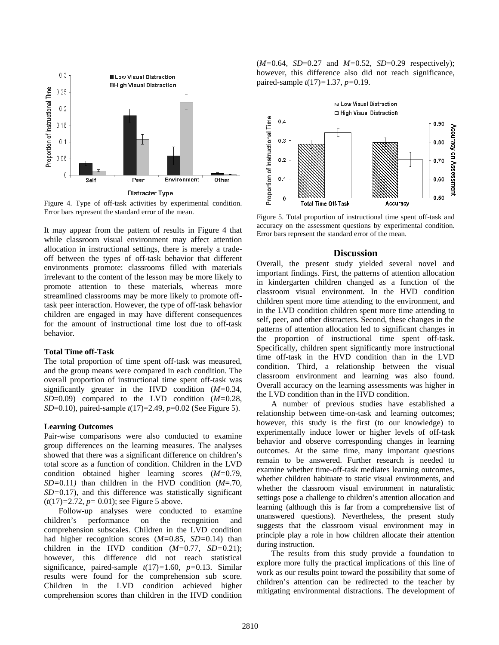

Figure 4. Type of off-task activities by experimental condition. Error bars represent the standard error of the mean.

It may appear from the pattern of results in Figure 4 that while classroom visual environment may affect attention allocation in instructional settings, there is merely a tradeoff between the types of off-task behavior that different environments promote: classrooms filled with materials irrelevant to the content of the lesson may be more likely to promote attention to these materials, whereas more streamlined classrooms may be more likely to promote offtask peer interaction. However, the type of off-task behavior children are engaged in may have different consequences for the amount of instructional time lost due to off-task behavior.

#### **Total Time off-Task**

The total proportion of time spent off-task was measured, and the group means were compared in each condition. The overall proportion of instructional time spent off-task was significantly greater in the HVD condition (*M=*0.34, *SD*=0.09) compared to the LVD condition (*M=*0.28, *SD*=0.10), paired-sample *t*(17)=2.49, *p*=0.02 (See Figure 5).

#### **Learning Outcomes**

Pair-wise comparisons were also conducted to examine group differences on the learning measures. The analyses showed that there was a significant difference on children's total score as a function of condition. Children in the LVD condition obtained higher learning scores (*M=*0.79, *SD=*0.11*)* than children in the HVD condition (*M*=.70, *SD=*0.17), and this difference was statistically significant (*t*(17)*=*2.72, *p=* 0.01); see Figure 5 above.

Follow-up analyses were conducted to examine children's performance on the recognition and comprehension subscales. Children in the LVD condition had higher recognition scores (*M=*0.85, *SD=*0.14) than children in the HVD condition (*M=*0.77, *SD=*0.21); however, this difference did not reach statistical significance, paired-sample *t*(17)*=*1.60, *p=*0.13. Similar results were found for the comprehension sub score. Children in the LVD condition achieved higher comprehension scores than children in the HVD condition (*M=*0.64, *SD*=0.27 and *M=*0.52, *SD*=0.29 respectively); however, this difference also did not reach significance, paired-sample *t*(17)*=*1.37, *p=*0.19.



Figure 5. Total proportion of instructional time spent off-task and accuracy on the assessment questions by experimental condition. Error bars represent the standard error of the mean.

#### **Discussion**

Overall, the present study yielded several novel and important findings. First, the patterns of attention allocation in kindergarten children changed as a function of the classroom visual environment. In the HVD condition children spent more time attending to the environment, and in the LVD condition children spent more time attending to self, peer, and other distracters. Second, these changes in the patterns of attention allocation led to significant changes in the proportion of instructional time spent off-task. Specifically, children spent significantly more instructional time off-task in the HVD condition than in the LVD condition. Third, a relationship between the visual classroom environment and learning was also found. Overall accuracy on the learning assessments was higher in the LVD condition than in the HVD condition.

A number of previous studies have established a relationship between time-on-task and learning outcomes; however, this study is the first (to our knowledge) to experimentally induce lower or higher levels of off-task behavior and observe corresponding changes in learning outcomes. At the same time, many important questions remain to be answered. Further research is needed to examine whether time-off-task mediates learning outcomes, whether children habituate to static visual environments, and whether the classroom visual environment in naturalistic settings pose a challenge to children's attention allocation and learning (although this is far from a comprehensive list of unanswered questions). Nevertheless, the present study suggests that the classroom visual environment may in principle play a role in how children allocate their attention during instruction.

The results from this study provide a foundation to explore more fully the practical implications of this line of work as our results point toward the possibility that some of children's attention can be redirected to the teacher by mitigating environmental distractions. The development of